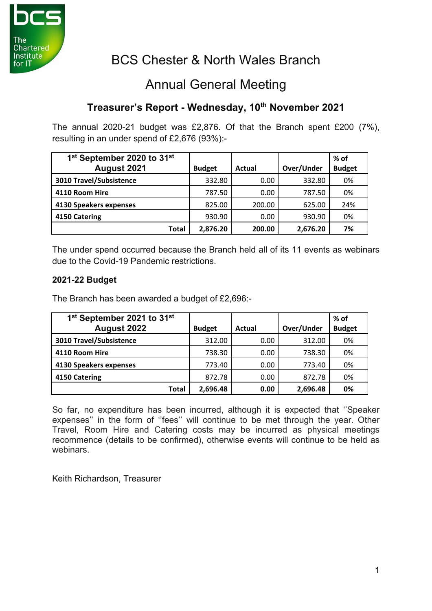

# BCS Chester & North Wales Branch

## Annual General Meeting

### **Treasurer's Report - Wednesday, 10th November 2021**

The annual 2020-21 budget was £2,876. Of that the Branch spent £200 (7%), resulting in an under spend of £2,676 (93%):-

| 1 <sup>st</sup> September 2020 to 31 <sup>st</sup> |               |        |            | $%$ of        |
|----------------------------------------------------|---------------|--------|------------|---------------|
| August 2021                                        | <b>Budget</b> | Actual | Over/Under | <b>Budget</b> |
| 3010 Travel/Subsistence                            | 332.80        | 0.00   | 332.80     | 0%            |
| 4110 Room Hire                                     | 787.50        | 0.00   | 787.50     | 0%            |
| 4130 Speakers expenses                             | 825.00        | 200.00 | 625.00     | 24%           |
| 4150 Catering                                      | 930.90        | 0.00   | 930.90     | 0%            |
| Total                                              | 2,876.20      | 200.00 | 2,676.20   | 7%            |

The under spend occurred because the Branch held all of its 11 events as webinars due to the Covid-19 Pandemic restrictions.

#### **2021-22 Budget**

The Branch has been awarded a budget of £2,696:-

| 1 <sup>st</sup> September 2021 to 31 <sup>st</sup> |               |        |            | $%$ of        |
|----------------------------------------------------|---------------|--------|------------|---------------|
| <b>August 2022</b>                                 | <b>Budget</b> | Actual | Over/Under | <b>Budget</b> |
| 3010 Travel/Subsistence                            | 312.00        | 0.00   | 312.00     | 0%            |
| 4110 Room Hire                                     | 738.30        | 0.00   | 738.30     | 0%            |
| 4130 Speakers expenses                             | 773.40        | 0.00   | 773.40     | 0%            |
| 4150 Catering                                      | 872.78        | 0.00   | 872.78     | 0%            |
| Total                                              | 2,696.48      | 0.00   | 2,696.48   | 0%            |

So far, no expenditure has been incurred, although it is expected that ''Speaker expenses'' in the form of ''fees'' will continue to be met through the year. Other Travel, Room Hire and Catering costs may be incurred as physical meetings recommence (details to be confirmed), otherwise events will continue to be held as webinars.

Keith Richardson, Treasurer